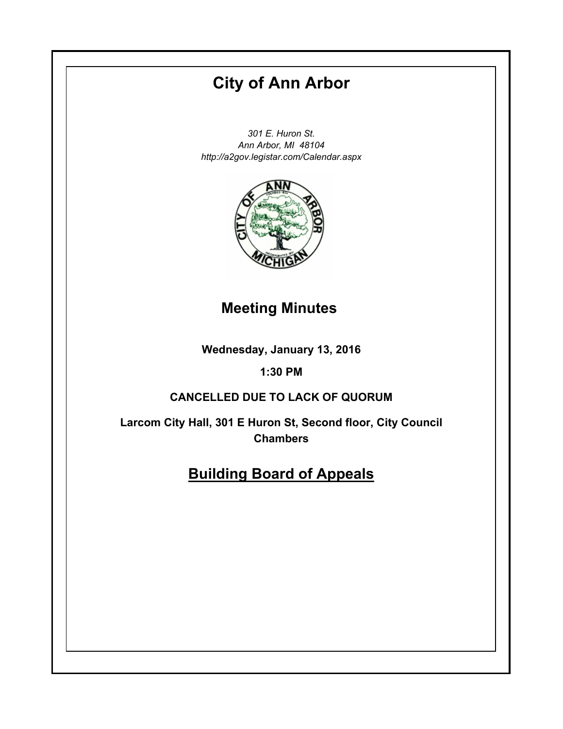# **City of Ann Arbor**

*301 E. Huron St. Ann Arbor, MI 48104 http://a2gov.legistar.com/Calendar.aspx*



### **Meeting Minutes**

**Wednesday, January 13, 2016**

### **1:30 PM**

#### **CANCELLED DUE TO LACK OF QUORUM**

**Larcom City Hall, 301 E Huron St, Second floor, City Council Chambers**

## **Building Board of Appeals**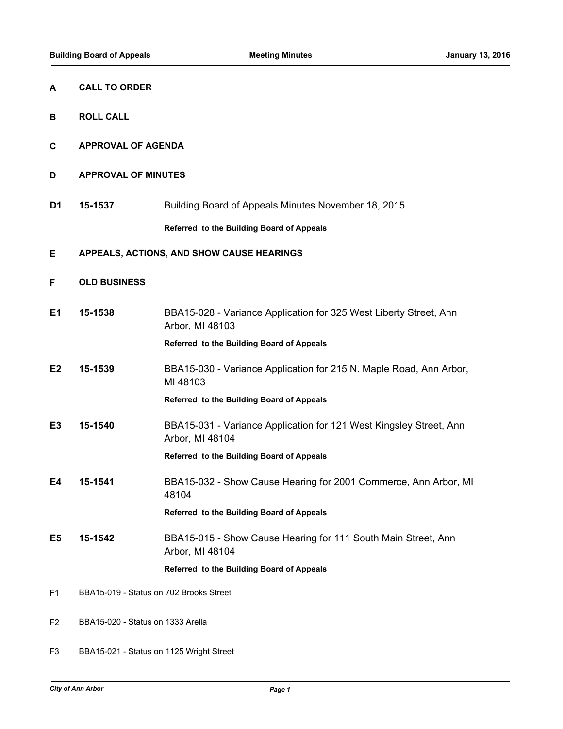| A              | <b>CALL TO ORDER</b>                      |                                                                                       |
|----------------|-------------------------------------------|---------------------------------------------------------------------------------------|
| В              | <b>ROLL CALL</b>                          |                                                                                       |
| С              | <b>APPROVAL OF AGENDA</b>                 |                                                                                       |
| D              | <b>APPROVAL OF MINUTES</b>                |                                                                                       |
| D <sub>1</sub> | 15-1537                                   | Building Board of Appeals Minutes November 18, 2015                                   |
|                |                                           | Referred to the Building Board of Appeals                                             |
| E              | APPEALS, ACTIONS, AND SHOW CAUSE HEARINGS |                                                                                       |
| F              | <b>OLD BUSINESS</b>                       |                                                                                       |
| E1             | 15-1538                                   | BBA15-028 - Variance Application for 325 West Liberty Street, Ann<br>Arbor, MI 48103  |
|                |                                           | Referred to the Building Board of Appeals                                             |
| E <sub>2</sub> | 15-1539                                   | BBA15-030 - Variance Application for 215 N. Maple Road, Ann Arbor,<br>MI 48103        |
|                |                                           | Referred to the Building Board of Appeals                                             |
| E <sub>3</sub> | 15-1540                                   | BBA15-031 - Variance Application for 121 West Kingsley Street, Ann<br>Arbor, MI 48104 |
|                |                                           | Referred to the Building Board of Appeals                                             |
| Ε4             | 15-1541                                   | BBA15-032 - Show Cause Hearing for 2001 Commerce, Ann Arbor, MI<br>48104              |
|                |                                           | Referred to the Building Board of Appeals                                             |
| E <sub>5</sub> | 15-1542                                   | BBA15-015 - Show Cause Hearing for 111 South Main Street, Ann<br>Arbor, MI 48104      |
|                |                                           | Referred to the Building Board of Appeals                                             |
| F1             | BBA15-019 - Status on 702 Brooks Street   |                                                                                       |
| F <sub>2</sub> | BBA15-020 - Status on 1333 Arella         |                                                                                       |

F3 BBA15-021 - Status on 1125 Wright Street